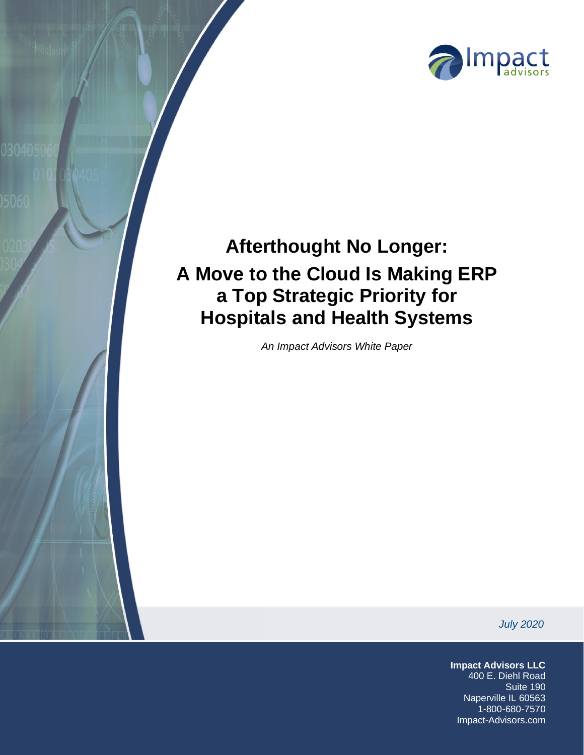

# **Afterthought No Longer: A Move to the Cloud Is Making ERP a Top Strategic Priority for Hospitals and Health Systems**

*An Impact Advisors White Paper*

*July 2020*

**Impact Advisors LLC** 400 E. Diehl Road Suite 190 Naperville IL 60563 1-800-680-7570 Impact-Advisors.com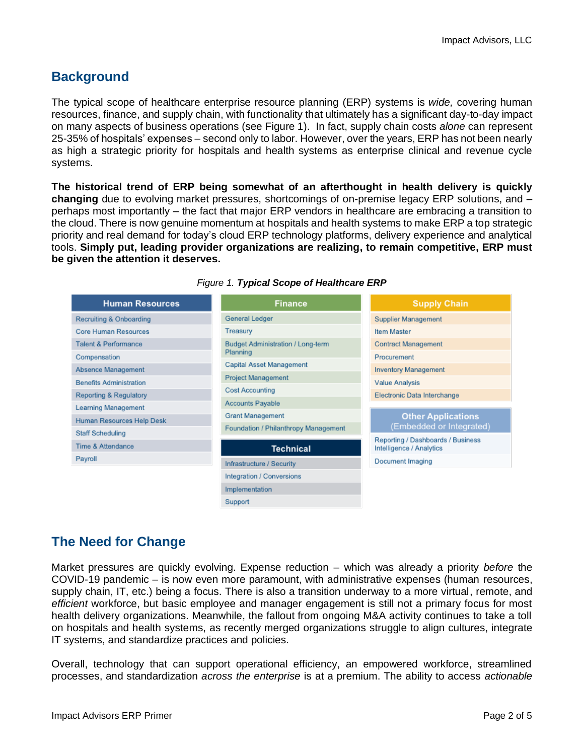## **Background**

The typical scope of healthcare enterprise resource planning (ERP) systems is *wide,* covering human resources, finance, and supply chain, with functionality that ultimately has a significant day-to-day impact on many aspects of business operations (see Figure 1). In fact, supply chain costs *alone* can represent 25-35% of hospitals' expenses – second only to labor. However, over the years, ERP has not been nearly as high a strategic priority for hospitals and health systems as enterprise clinical and revenue cycle systems.

**The historical trend of ERP being somewhat of an afterthought in health delivery is quickly changing** due to evolving market pressures, shortcomings of on-premise legacy ERP solutions, and – perhaps most importantly – the fact that major ERP vendors in healthcare are embracing a transition to the cloud. There is now genuine momentum at hospitals and health systems to make ERP a top strategic priority and real demand for today's cloud ERP technology platforms, delivery experience and analytical tools. **Simply put, leading provider organizations are realizing, to remain competitive, ERP must be given the attention it deserves.**

| <b>Human Resources</b>          | <b>Finance</b>                                | <b>Supply Chain</b>                                           |
|---------------------------------|-----------------------------------------------|---------------------------------------------------------------|
| Recruiting & Onboarding         | General Ledger                                | Supplier Management                                           |
| Core Human Resources            | Treasury                                      | <b>Item Master</b>                                            |
| <b>Talent &amp; Performance</b> | Budget Administration / Long-term<br>Planning | <b>Contract Management</b>                                    |
| Compensation                    |                                               | Procurement                                                   |
| Absence Management              | Capital Asset Management                      | <b>Inventory Management</b>                                   |
| <b>Benefits Administration</b>  | Project Management                            | Value Analysis                                                |
| Reporting & Regulatory          | Cost Accounting                               | Electronic Data Interchange                                   |
| Learning Management             | <b>Accounts Payable</b>                       |                                                               |
| Human Resources Help Desk       | <b>Grant Management</b>                       | <b>Other Applications</b>                                     |
| Staff Scheduling                | Foundation / Philanthropy Management          | (Embedded or Integrated)                                      |
| <b>Time &amp; Attendance</b>    | <b>Technical</b>                              | Reporting / Dashboards / Business<br>Intelligence / Analytics |
| Payroll                         | Infrastructure / Security                     | Document Imaging                                              |
|                                 | Integration / Conversions                     |                                                               |
|                                 | Implementation                                |                                                               |
|                                 | Support                                       |                                                               |

#### *Figure 1. Typical Scope of Healthcare ERP*

## **The Need for Change**

Market pressures are quickly evolving. Expense reduction – which was already a priority *before* the COVID-19 pandemic – is now even more paramount, with administrative expenses (human resources, supply chain, IT, etc.) being a focus. There is also a transition underway to a more virtual, remote, and *efficient* workforce, but basic employee and manager engagement is still not a primary focus for most health delivery organizations. Meanwhile, the fallout from ongoing M&A activity continues to take a toll on hospitals and health systems, as recently merged organizations struggle to align cultures, integrate IT systems, and standardize practices and policies.

Overall, technology that can support operational efficiency, an empowered workforce, streamlined processes, and standardization *across the enterprise* is at a premium. The ability to access *actionable*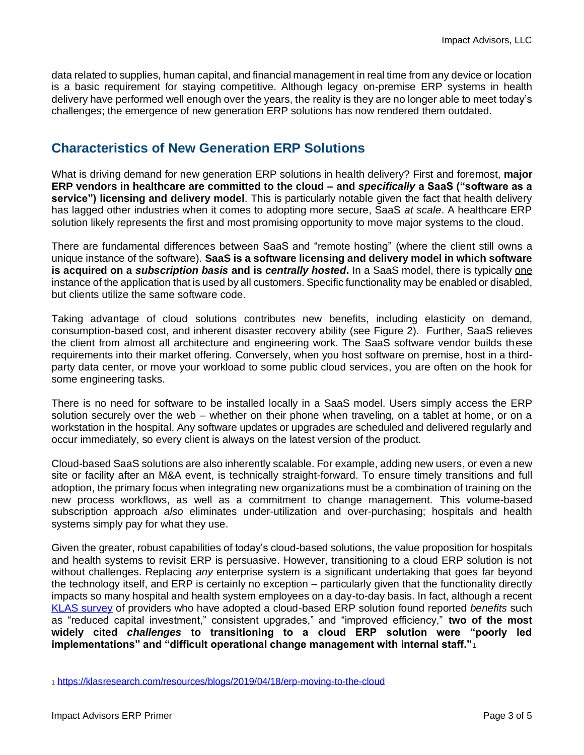data related to supplies, human capital, and financial management in real time from any device or location is a basic requirement for staying competitive. Although legacy on-premise ERP systems in health delivery have performed well enough over the years, the reality is they are no longer able to meet today's challenges; the emergence of new generation ERP solutions has now rendered them outdated.

### **Characteristics of New Generation ERP Solutions**

What is driving demand for new generation ERP solutions in health delivery? First and foremost, **major ERP vendors in healthcare are committed to the cloud – and** *specifically* **a SaaS ("software as a service") licensing and delivery model**. This is particularly notable given the fact that health delivery has lagged other industries when it comes to adopting more secure, SaaS *at scale*. A healthcare ERP solution likely represents the first and most promising opportunity to move major systems to the cloud.

There are fundamental differences between SaaS and "remote hosting" (where the client still owns a unique instance of the software). **SaaS is a software licensing and delivery model in which software is acquired on a** *subscription basis* **and is** *centrally hosted***.** In a SaaS model, there is typically one instance of the application that is used by all customers. Specific functionality may be enabled or disabled, but clients utilize the same software code.

Taking advantage of cloud solutions contributes new benefits, including elasticity on demand, consumption-based cost, and inherent disaster recovery ability (see Figure 2). Further, SaaS relieves the client from almost all architecture and engineering work. The SaaS software vendor builds these requirements into their market offering. Conversely, when you host software on premise, host in a thirdparty data center, or move your workload to some public cloud services, you are often on the hook for some engineering tasks.

There is no need for software to be installed locally in a SaaS model. Users simply access the ERP solution securely over the web – whether on their phone when traveling, on a tablet at home, or on a workstation in the hospital. Any software updates or upgrades are scheduled and delivered regularly and occur immediately, so every client is always on the latest version of the product.

Cloud-based SaaS solutions are also inherently scalable. For example, adding new users, or even a new site or facility after an M&A event, is technically straight-forward. To ensure timely transitions and full adoption, the primary focus when integrating new organizations must be a combination of training on the new process workflows, as well as a commitment to change management. This volume-based subscription approach *also* eliminates under-utilization and over-purchasing; hospitals and health systems simply pay for what they use.

Given the greater, robust capabilities of today's cloud-based solutions, the value proposition for hospitals and health systems to revisit ERP is persuasive. However, transitioning to a cloud ERP solution is not without challenges. Replacing *any* enterprise system is a significant undertaking that goes far beyond the technology itself, and ERP is certainly no exception – particularly given that the functionality directly impacts so many hospital and health system employees on a day-to-day basis. In fact, although a recent [KLAS survey](https://klasresearch.com/resources/blogs/2019/04/18/erp-moving-to-the-cloud) of providers who have adopted a cloud-based ERP solution found reported *benefits* such as "reduced capital investment," consistent upgrades," and "improved efficiency," **two of the most widely cited** *challenges* **to transitioning to a cloud ERP solution were "poorly led implementations" and "difficult operational change management with internal staff."**<sup>1</sup>

<sup>1</sup> <https://klasresearch.com/resources/blogs/2019/04/18/erp-moving-to-the-cloud>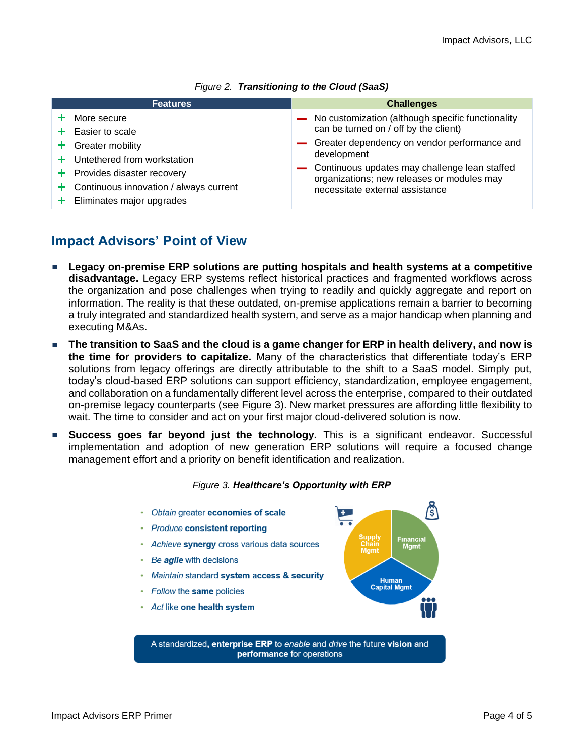| <b>Features</b>                            | <b>Challenges</b>                                 |
|--------------------------------------------|---------------------------------------------------|
| $+$ More secure                            | No customization (although specific functionality |
| $+$ Easier to scale                        | can be turned on / off by the client)             |
| $+$ Greater mobility                       | - Greater dependency on vendor performance and    |
| $+$ Untethered from workstation            | development                                       |
| $+$ Provides disaster recovery             | Continuous updates may challenge lean staffed     |
| $+$ Continuous innovation / always current | organizations; new releases or modules may        |
| $+$ Eliminates major upgrades              | necessitate external assistance                   |

#### *Figure 2. Transitioning to the Cloud (SaaS)*

## **Impact Advisors' Point of View**

- **Legacy on-premise ERP solutions are putting hospitals and health systems at a competitive disadvantage.** Legacy ERP systems reflect historical practices and fragmented workflows across the organization and pose challenges when trying to readily and quickly aggregate and report on information. The reality is that these outdated, on-premise applications remain a barrier to becoming a truly integrated and standardized health system, and serve as a major handicap when planning and executing M&As.
- **The transition to SaaS and the cloud is a game changer for ERP in health delivery, and now is** ш **the time for providers to capitalize.** Many of the characteristics that differentiate today's ERP solutions from legacy offerings are directly attributable to the shift to a SaaS model. Simply put, today's cloud-based ERP solutions can support efficiency, standardization, employee engagement, and collaboration on a fundamentally different level across the enterprise, compared to their outdated on-premise legacy counterparts (see Figure 3). New market pressures are affording little flexibility to wait. The time to consider and act on your first major cloud-delivered solution is now.
- **Success goes far beyond just the technology.** This is a significant endeavor. Successful implementation and adoption of new generation ERP solutions will require a focused change management effort and a priority on benefit identification and realization.

#### *Figure 3. Healthcare's Opportunity with ERP*

- Obtain greater economies of scale
- Produce consistent reporting
- Achieve synergy cross various data sources
- Be *agile* with decisions
- Maintain standard system access & security
- Follow the same policies
- Act like one health system



A standardized, enterprise ERP to enable and drive the future vision and performance for operations